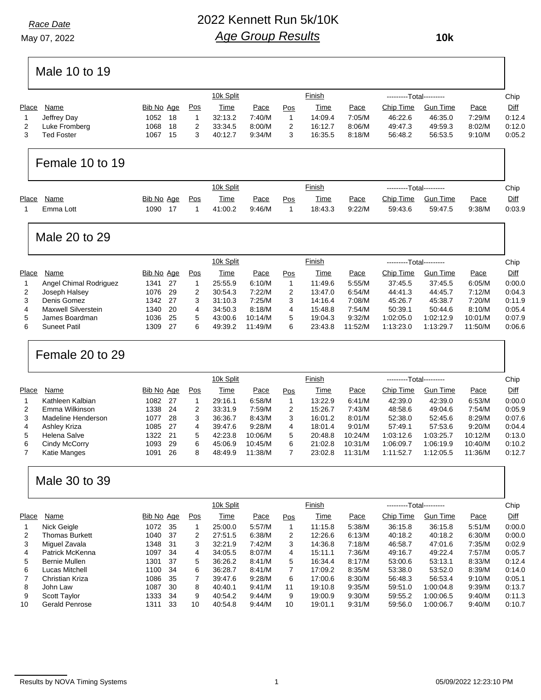#### *Race Date*

May 07, 2022

## 2022 Kennett Run 5k/10K *Age Group Results*

 **10k**

# Male 10 to 19

|               |      |     |            | 10k Split   |        |     | <u>Finish</u> |        |           |                 |                         | Chip        |
|---------------|------|-----|------------|-------------|--------|-----|---------------|--------|-----------|-----------------|-------------------------|-------------|
| Name          |      |     | Pos        | <b>Time</b> | Pace   | Pos | Time          | Pace   | Chip Time | <b>Gun Time</b> | Pace                    | <b>Diff</b> |
| Jeffrey Day   | 1052 | -18 |            | 32:13.2     | 7:40/M |     | 14:09.4       | 7:05/M | 46:22.6   | 46:35.0         | 7.29/M                  | 0:12.4      |
| Luke Fromberg | 1068 | -18 | 2          | 33:34.5     | 8:00/M |     | 16:12.7       | 8:06/M | 49:47.3   | 49:59.3         | 8:02/M                  | 0:12.0      |
| Ted Foster    | 1067 | 15  |            | 40:12.7     | 9:34/M |     | 16:35.5       | 8:18/M | 56:48.2   | 56:53.5         | 9:10/M                  | 0:05.2      |
|               |      |     | Bib No Age |             |        |     |               |        |           |                 | ---------Total--------- |             |

# Female 10 to 19

|       |           |            |     | 10k Split   |        |     | <u>Finish</u> |             | ---------Total--------- |                 |             | Chip   |
|-------|-----------|------------|-----|-------------|--------|-----|---------------|-------------|-------------------------|-----------------|-------------|--------|
| Place | Name      | Bib No Age | Pos | <u>Time</u> | Pace   | Pos | Time          | <u>Pace</u> | Chip Time               | <b>Gun Time</b> | <u>Pace</u> | Diff   |
|       | Emma Lott | 1090       |     | 41:00.2     | 9:46/M |     | 18:43.3       | 9:22/M      | 59:43.6                 | 59:47.5         | 9:38/M      | 0:03.9 |

## Male 20 to 29

|       |                        |            |      |     | 10k Split |         |     | Finish  |         | ---------Total--------- |                 |         | Chip   |
|-------|------------------------|------------|------|-----|-----------|---------|-----|---------|---------|-------------------------|-----------------|---------|--------|
| Place | Name                   | Bib No Age |      | Pos | Time      | Pace    | Pos | Time    | Pace    | Chip Time               | <b>Gun Time</b> | Pace    | Diff   |
|       | Angel Chimal Rodriguez | 1341       | -27  |     | 25:55.9   | 6:10/M  |     | 11:49.6 | 5:55/M  | 37:45.5                 | 37:45.5         | 6:05/M  | 0:00.0 |
| 2     | Joseph Halsey          | 1076       | -29  | 2   | 30:54.3   | 7:22/M  | 2   | 13:47.0 | 6:54/M  | 44:41.3                 | 44:45.7         | 7:12/M  | 0:04.3 |
| 3     | Denis Gomez            | 1342       | - 27 | 3   | 31:10.3   | 7:25/M  | 3   | 14:16.4 | 7:08/M  | 45:26.7                 | 45:38.7         | 7:20/M  | 0:11.9 |
| 4     | Maxwell Silverstein    | 1340       | -20  | 4   | 34.50.3   | 8:18/M  | 4   | 15:48.8 | 7:54/M  | 50:39.1                 | 50:44.6         | 8:10/M  | 0:05.4 |
| 5     | James Boardman         | 1036       | -25  | 5   | 43:00.6   | 10:14/M | 5   | 19:04.3 | 9:32/M  | 1:02:05.0               | 1:02:12.9       | 10:01/M | 0:07.9 |
| 6     | <b>Suneet Patil</b>    | 1309       | -27  | 6   | 49:39.2   | 11:49/M | 6   | 23:43.8 | 11:52/M | 1:13:23.0               | 1:13:29.7       | 11:50/M | 0:06.6 |
|       |                        |            |      |     |           |         |     |         |         |                         |                 |         |        |

## Female 20 to 29

|       |                    |            |      |     | 10k Split |         |     | Finish  |         | ---------Total--------- |                 |         | Chip   |
|-------|--------------------|------------|------|-----|-----------|---------|-----|---------|---------|-------------------------|-----------------|---------|--------|
| Place | Name               | Bib No Age |      | Pos | Time      | Pace    | Pos | Time    | Pace    | Chip Time               | <b>Gun Time</b> | Pace    | Diff   |
|       | Kathleen Kalbian   | 1082       | - 27 |     | 29:16.1   | 6:58/M  |     | 13:22.9 | 6:41/M  | 42:39.0                 | 42:39.0         | 6:53/M  | 0:00.0 |
| 2     | Emma Wilkinson     | 1338       | -24  | 2   | 33:31.9   | 7:59/M  | 2   | 15:26.7 | 7:43/M  | 48:58.6                 | 49:04.6         | 7:54/M  | 0:05.9 |
| 3     | Madeline Henderson | 1077       | -28  | 3   | 36:36.7   | 8:43/M  | 3   | 16:01.2 | 8:01/M  | 52:38.0                 | 52:45.6         | 8:29/M  | 0:07.6 |
| 4     | Ashley Kriza       | 1085       | - 27 | 4   | 39:47.6   | 9:28/M  | 4   | 18:01.4 | 9:01/M  | 57:49.1                 | 57:53.6         | 9:20/M  | 0:04.4 |
| 5     | Helena Salve       | 1322       | - 21 | 5   | 42:23.8   | 10:06/M | 5   | 20:48.8 | 10:24/M | 1:03:12.6               | 1:03:25.7       | 10:12/M | 0:13.0 |
| 6     | Cindy McCorry      | 1093       | -29  | 6   | 45:06.9   | 10:45/M | 6   | 21:02.8 | 10:31/M | 1:06:09.7               | 1:06:19.9       | 10:40/M | 0:10.2 |
|       | Katie Manges       | 1091       | 26   | 8   | 48:49.9   | 11:38/M |     | 23:02.8 | 11:31/M | 1:11:52.7               | 1:12:05.5       | 11:36/M | 0:12.7 |
|       |                    |            |      |     |           |         |     |         |         |                         |                 |         |        |

### Male 30 to 39

|              |                 |            |     |     | 10k Split |        |                | Finish  |        | ---------Total--------- |                 |        | Chip   |
|--------------|-----------------|------------|-----|-----|-----------|--------|----------------|---------|--------|-------------------------|-----------------|--------|--------|
| Place        | Name            | Bib No Age |     | Pos | Time      | Pace   | Pos            | Time    | Pace   | Chip Time               | <b>Gun Time</b> | Pace   | Diff   |
|              | Nick Geigle     | 1072       | 35  |     | 25:00.0   | 5:57/M |                | 11:15.8 | 5:38/M | 36:15.8                 | 36:15.8         | 5:51/M | 0:00.0 |
| 2            | Thomas Burkett  | 1040       | -37 | 2   | 27:51.5   | 6:38/M | $\overline{2}$ | 12:26.6 | 6:13/M | 40:18.2                 | 40:18.2         | 6:30/M | 0:00.0 |
| 3            | Miguel Zavala   | 1348       | -31 | 3   | 32:21.9   | 7:42/M | 3              | 14:36.8 | 7:18/M | 46:58.7                 | 47:01.6         | 7:35/M | 0:02.9 |
| 4            | Patrick McKenna | 1097       | -34 | 4   | 34:05.5   | 8:07/M | 4              | 15:11.1 | 7:36/M | 49:16.7                 | 49:22.4         | 7:57/M | 0:05.7 |
| 5            | Bernie Mullen   | 1301       | -37 | 5   | 36:26.2   | 8:41/M | 5              | 16:34.4 | 8:17/M | 53:00.6                 | 53:13.1         | 8:33/M | 0:12.4 |
| 6            | Lucas Mitchell  | 1100       | -34 | 6   | 36:28.7   | 8:41/M |                | 17:09.2 | 8:35/M | 53:38.0                 | 53:52.0         | 8:39/M | 0:14.0 |
| $\mathbf{7}$ | Christian Kriza | 1086       | -35 |     | 39:47.6   | 9:28/M | 6              | 17:00.6 | 8:30/M | 56:48.3                 | 56:53.4         | 9:10/M | 0:05.1 |
| 8            | John Law        | 1087       | 30  | 8   | 40:40.1   | 9:41/M | 11             | 19:10.8 | 9:35/M | 59:51.0                 | 1:00:04.8       | 9:39/M | 0:13.7 |
| 9            | Scott Taylor    | 1333       | -34 | 9   | 40:54.2   | 9:44/M | 9              | 19:00.9 | 9:30/M | 59:55.2                 | 1:00:06.5       | 9:40/M | 0:11.3 |
| 10           | Gerald Penrose  | 1311       | 33  | 10  | 40:54.8   | 9:44/M | 10             | 19:01.1 | 9:31/M | 59:56.0                 | 1:00:06.7       | 9:40/M | 0:10.7 |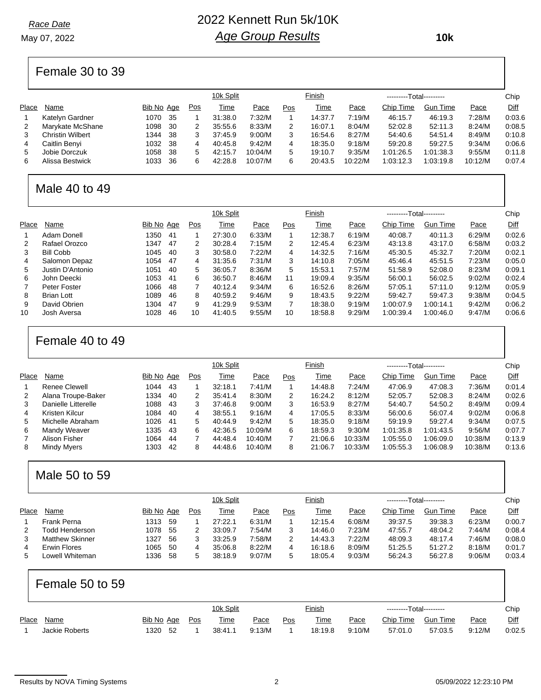May 07, 2022

### 2022 Kennett Run 5k/10K *Age Group Results*

 **10k**

# Female 30 to 39

|       |                  |            |     |     | 10k Split   |         |     | Finish  |         | ---------Total--------- |                 |         | Chip   |
|-------|------------------|------------|-----|-----|-------------|---------|-----|---------|---------|-------------------------|-----------------|---------|--------|
| Place | Name             | Bib No Age |     | Pos | <u>Time</u> | Pace    | Pos | Time    | Pace    | Chip Time               | <b>Gun Time</b> | Pace    | Diff   |
|       | Katelyn Gardner  | 1070       | -35 |     | 31:38.0     | 7:32/M  |     | 14:37.7 | 7:19/M  | 46:15.7                 | 46:19.3         | 7:28/M  | 0.03.6 |
| 2     | Marykate McShane | 1098       | -30 | 2   | 35:55.6     | 8:33/M  | 2   | 16:07.1 | 8:04/M  | 52:02.8                 | 52:11.3         | 8:24/M  | 0.08.5 |
| 3     | Christin Wilbert | 1344       | -38 | 3   | 37:45.9     | 9:00/M  | 3   | 16:54.6 | 8:27/M  | 54:40.6                 | 54:51.4         | 8:49/M  | 0.10.8 |
| 4     | Caitlin Benyi    | 1032       | -38 | 4   | 40:45.8     | 9:42/M  | 4   | 18:35.0 | 9:18/M  | 59:20.8                 | 59:27.5         | 9:34/M  | 0.06.6 |
| 5     | Jobie Dorczuk    | 1058       | 38  | 5   | 42:15.7     | 10:04/M | 5   | 19:10.7 | 9:35/M  | 1:01:26.5               | 1:01:38.3       | 9:55/M  | 0:11.8 |
| 6     | Alissa Bestwick  | 1033       | 36  | 6   | 42:28.8     | 10:07/M | 6   | 20:43.5 | 10:22/M | 1:03:12.3               | 1:03:19.8       | 10:12/M | 0.07.4 |
|       |                  |            |     |     |             |         |     |         |         |                         |                 |         |        |

#### Male 40 to 49

|       |                  |            |     |     | 10k Split |        |     | Finish  |        | ---------Total--------- |                 |        | Chip        |
|-------|------------------|------------|-----|-----|-----------|--------|-----|---------|--------|-------------------------|-----------------|--------|-------------|
|       |                  |            |     |     |           |        |     |         |        |                         |                 |        |             |
| Place | Name             | Bib No Age |     | Pos | Time      | Pace   | Pos | Time    | Pace   | Chip Time               | <b>Gun Time</b> | Pace   | <b>Diff</b> |
|       | Adam Donell      | 1350       | -41 |     | 27:30.0   | 6:33/M |     | 12:38.7 | 6:19/M | 40:08.7                 | 40:11.3         | 6:29/M | 0:02.6      |
| 2     | Rafael Orozco    | 1347       | 47  | 2   | 30:28.4   | 7:15/M | 2   | 12:45.4 | 6:23/M | 43:13.8                 | 43:17.0         | 6:58/M | 0:03.2      |
| 3     | <b>Bill Cobb</b> | 1045       | -40 | 3   | 30:58.0   | 7:22/M | 4   | 14:32.5 | 7:16/M | 45:30.5                 | 45:32.7         | 7:20/M | 0:02.1      |
| 4     | Salomon Depaz    | 1054       | 47  | 4   | 31:35.6   | 7:31/M | 3   | 14:10.8 | 7:05/M | 45:46.4                 | 45:51.5         | 7:23/M | 0:05.0      |
| 5     | Justin D'Antonio | 1051       | -40 | 5   | 36:05.7   | 8:36/M | 5   | 15:53.1 | 7:57/M | 51:58.9                 | 52:08.0         | 8:23/M | 0:09.1      |
| 6     | John Deecki      | 1053       | -41 | 6   | 36:50.7   | 8:46/M | 11  | 19:09.4 | 9:35/M | 56:00.1                 | 56:02.5         | 9:02/M | 0:02.4      |
| 7     | Peter Foster     | 1066       | 48  |     | 40:12.4   | 9:34/M | 6   | 16:52.6 | 8:26/M | 57:05.1                 | 57:11.0         | 9:12/M | 0:05.9      |
| 8     | Brian Lott       | 1089       | 46  | 8   | 40:59.2   | 9:46/M | 9   | 18:43.5 | 9:22/M | 59:42.7                 | 59:47.3         | 9:38/M | 0.04.5      |
| 9     | David Obrien     | 1304       | 47  | 9   | 41:29.9   | 9:53/M | 7   | 18:38.0 | 9:19/M | 1:00:07.9               | 1:00:14.1       | 9:42/M | 0:06.2      |
| 10    | Josh Aversa      | 1028       | 46  | 10  | 41:40.5   | 9:55/M | 10  | 18:58.8 | 9:29/M | 1:00:39.4               | 1:00:46.0       | 9:47/M | 0.06.6      |

#### Female 40 to 49

|       |                     |            |     |     | 10k Split   |         |     | Finish  |         | ---------Total--------- |                 |         | Chip   |
|-------|---------------------|------------|-----|-----|-------------|---------|-----|---------|---------|-------------------------|-----------------|---------|--------|
| Place | Name                | Bib No Age |     | Pos | <u>Time</u> | Pace    | Pos | Time    | Pace    | Chip Time               | <b>Gun Time</b> | Pace    | Diff   |
|       | Renee Clewell       | 1044       | 43  |     | 32:18.1     | 7:41/M  |     | 14:48.8 | 7:24/M  | 47:06.9                 | 47:08.3         | 7:36/M  | 0:01.4 |
| 2     | Alana Troupe-Baker  | 1334       | -40 | 2   | 35:41.4     | 8:30/M  | 2   | 16:24.2 | 8:12/M  | 52:05.7                 | 52:08.3         | 8:24/M  | 0:02.6 |
| 3     | Danielle Litterelle | 1088       | 43  | 3   | 37:46.8     | 9:00/M  | 3   | 16:53.9 | 8:27/M  | 54:40.7                 | 54:50.2         | 8:49/M  | 0:09.4 |
| 4     | Kristen Kilcur      | 1084       | 40  | 4   | 38:55.1     | 9:16/M  | 4   | 17:05.5 | 8:33/M  | 56:00.6                 | 56:07.4         | 9:02/M  | 0:06.8 |
| 5     | Michelle Abraham    | 1026       | 41  | 5   | 40:44.9     | 9:42/M  | 5   | 18:35.0 | 9:18/M  | 59:19.9                 | 59:27.4         | 9:34/M  | 0:07.5 |
| 6     | Mandy Weaver        | 1335       | 43  | 6   | 42:36.5     | 10:09/M | 6   | 18:59.3 | 9:30/M  | 1:01:35.8               | 1:01:43.5       | 9:56/M  | 0:07.7 |
|       | Alison Fisher       | 1064       | 44  |     | 44:48.4     | 10:40/M |     | 21:06.6 | 10:33/M | 1:05:55.0               | 1:06:09.0       | 10:38/M | 0:13.9 |
| 8     | Mindy Myers         | 1303       | 42  | 8   | 44:48.6     | 10:40/M | 8   | 21:06.7 | 10:33/M | 1:05:55.3               | 1:06:08.9       | 10:38/M | 0:13.6 |
|       |                     |            |     |     |             |         |     |         |         |                         |                 |         |        |

# Male 50 to 59

|       |                        |            |     |     | 10k Split |        |     | Finish  |        | ---------Total--------- |                 |        | Chip   |
|-------|------------------------|------------|-----|-----|-----------|--------|-----|---------|--------|-------------------------|-----------------|--------|--------|
| Place | Name                   | Bib No Age |     | Pos | Time      | Pace   | Pos | Time    | Pace   | Chip Time               | <b>Gun Time</b> | Pace   | Diff   |
|       | Frank Perna            | 1313       | -59 |     | 27:22.1   | 6:31/M |     | 12:15.4 | 6:08/M | 39:37.5                 | 39:38.3         | 6:23/M | 0:00.7 |
| 2     | Todd Henderson         | 1078       | -55 |     | 33:09.7   | 7:54/M | 3   | 14:46.0 | 7:23/M | 47:55.7                 | 48:04.2         | 7:44/M | 0:08.4 |
|       | <b>Matthew Skinner</b> | 1327       | -56 |     | 33.25.9   | 7:58/M | 2   | 14:43.3 | 7:22/M | 48:09.3                 | 48:17.4         | 7:46/M | 0:08.0 |
| 4     | Erwin Flores           | 1065       | -50 |     | 35:06.8   | 8:22/M | 4   | 16:18.6 | 8:09/M | 51:25.5                 | 51:27.2         | 8:18/M | 0:01.7 |
| 5     | Lowell Whiteman        | 1336       | -58 | 5   | 38.18.9   | 9:07/M | 5   | 18:05.4 | 9:03/M | 56:24.3                 | 56:27.8         | 9:06/M | 0.03.4 |

# Female 50 to 59

|       |                |            |     |     | 10k Split |        |     | <u>Finish</u> |             | ---------Total--------- |                 |             | Chip   |
|-------|----------------|------------|-----|-----|-----------|--------|-----|---------------|-------------|-------------------------|-----------------|-------------|--------|
| Place | Name           | Bib No Age |     | Pos | Time      | Pace   | Pos | Time          | <u>Pace</u> | Chip Time               | <b>Gun Time</b> | <u>Pace</u> | Diff   |
|       | Jackie Roberts | '320       | -52 |     | 38:41.1   | 9:13/M |     | 18:19.8       | 9:10/M      | 57:01.0                 | 57:03.5         | 9:12/M      | 0:02.5 |